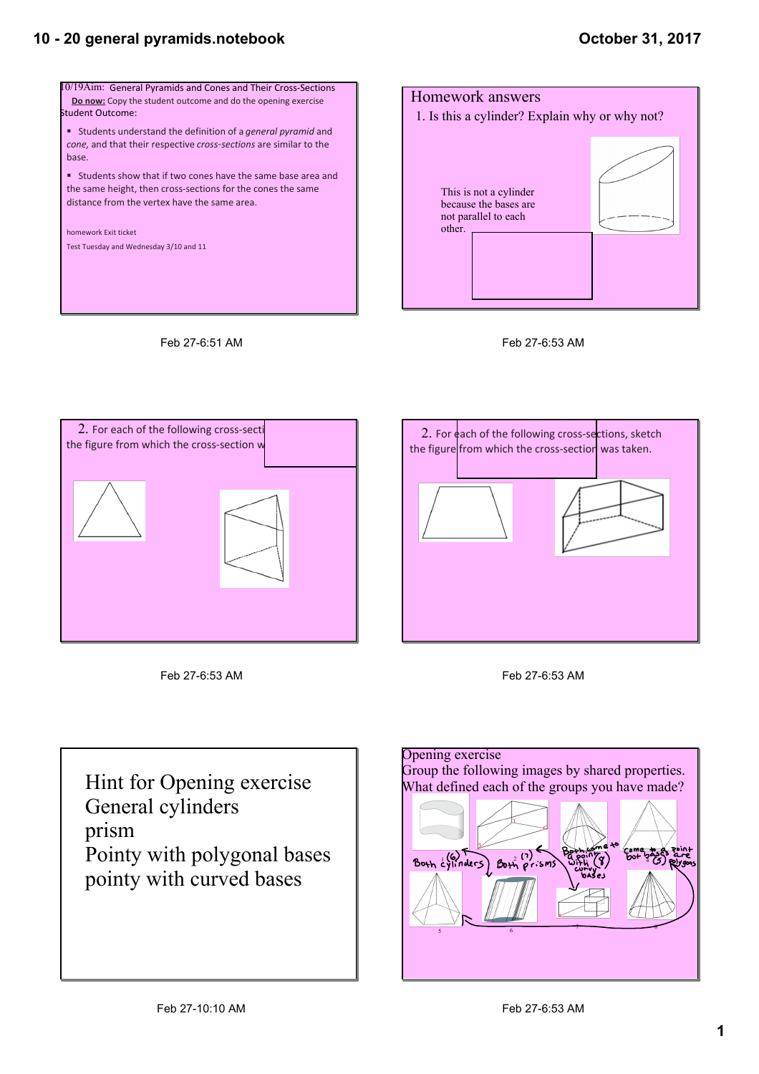## **October 31, 2017**









Feb 27-6:51 AM

Feb 27-6:53 AM





Hint for Opening exercise General cylinders prism Pointy with polygonal bases pointy with curved bases

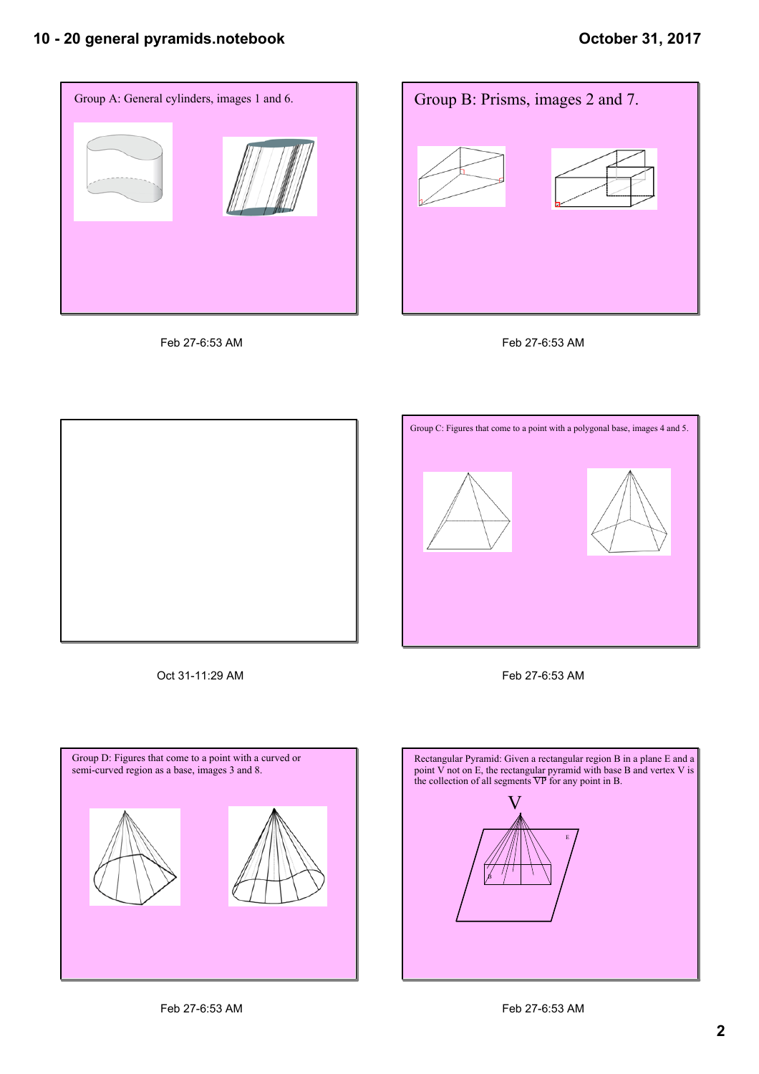









Oct 31-11:29 AM Feb 27-6:53 AM





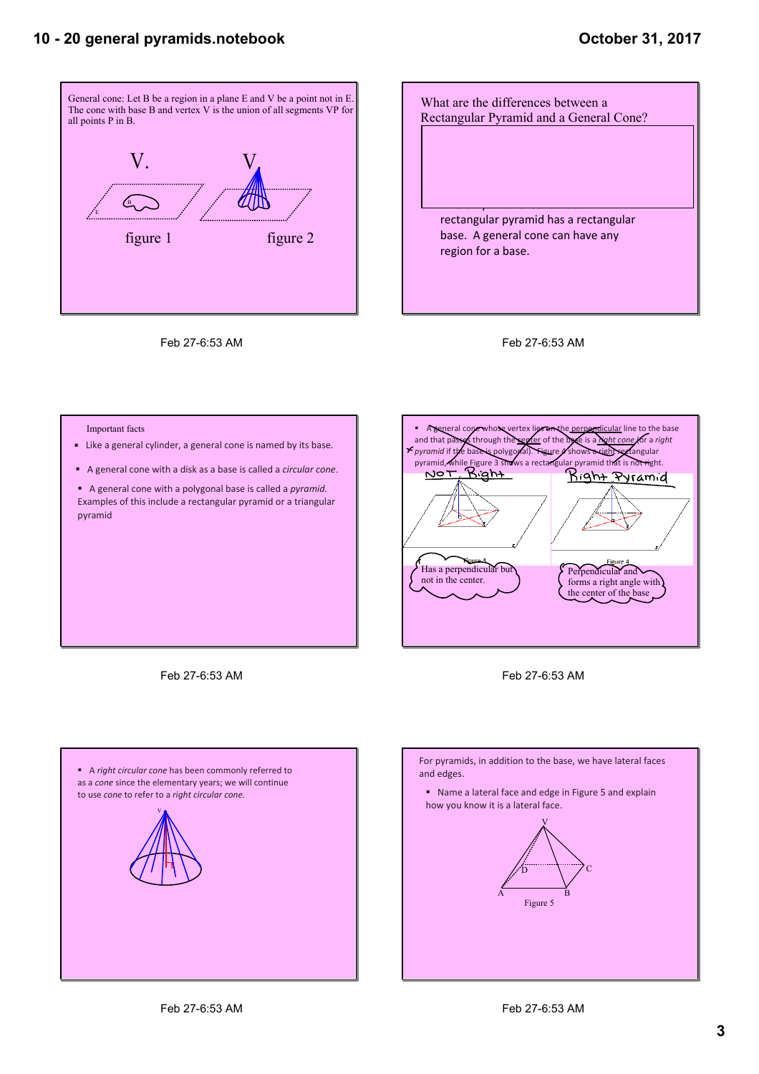

Feb 27-6:53 AM





Important facts

- $\blacksquare$  Like a general cylinder, a general cone is named by its base.
- A general cone with a disk as a base is called a *circular cone*.

**■** A general cone with a polygonal base is called a *pyramid*. Examples of this include a rectangular pyramid or a triangular pyramid.



Feb 27-6:53 AM





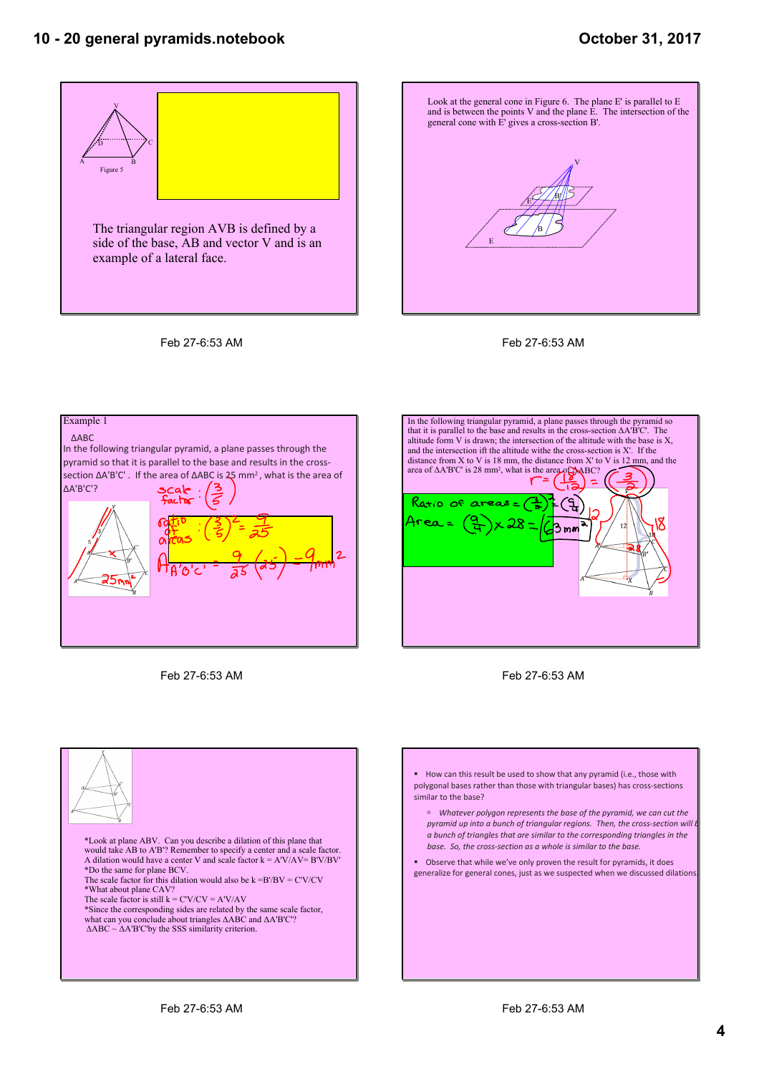### **October 31, 2017**











Feb 27-6:53 AM



Feb 27-6:53 AM



ß How can this result be used to show that any pyramid (i.e., those with polygonal bases rather than those with triangular bases) has cross‐sections similar to the base?

˙ *Whatever polygon represents the base of the pyramid, we can cut the pyramid up into a bunch of triangular regions. Then, the cross-section will be promid up into a bunch a bunch of triangles that are similar to the corresponding triangles in the base. So, the cross‐section as a whole is similar to the base.*

 $\blacksquare$   $\blacksquare$  Observe that while we've only proven the result for pyramids, it does generalize for general cones, just as we suspected when we discussed dilations.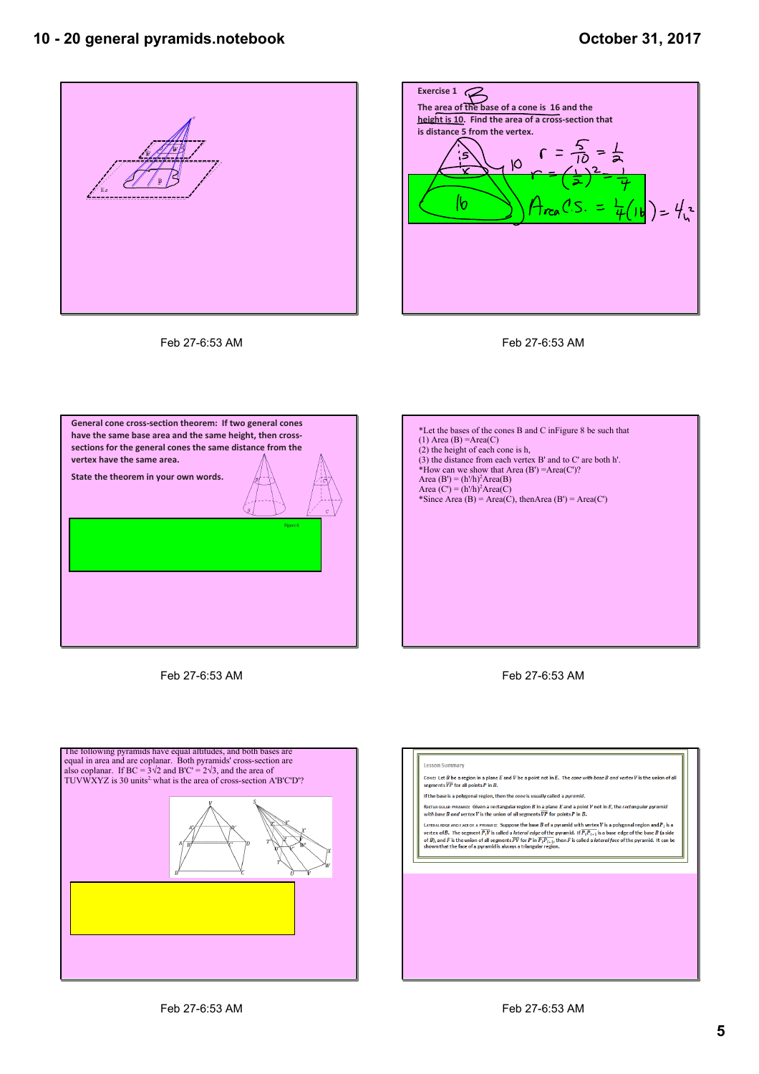



Feb 27-6:53 AM

Feb 27-6:53 AM



Feb 27-6:53 AM



Feb 27-6:53 AM



#### **Lesson Summary**

Cone: Let  $B$  be a region in a plane  $E$  and  $V$  be a point not in  $E$ . The cone with base  $B$  and vertex  $V$  is the union of all<br>segments  $\overline{VP}$  for all points  $P$  in  $B$ .

If the base is a polygonal region, then the cone is usually called a pyramid.

Rестамоила рувамио: Given a rectangular region B in a plane E and a point V not in E, the rectang*ular pyramid*<br>with base B and vertex V is the union of all segments  $\overline{\nu P}$  for points P in B.

**EXECUTE AND ASSESS TO A PROPERTIES AND ASSESS TO A PROPERTIES AND RESPONSITION ASSESS TO A PROPERTIES AND RELAT ASSESS TO A PROPERTIES A PROPERTIES AND RELATED ASSESS TO A PROPERTY ASSESS TO A PROPERTY ASSESS TO A PROPER**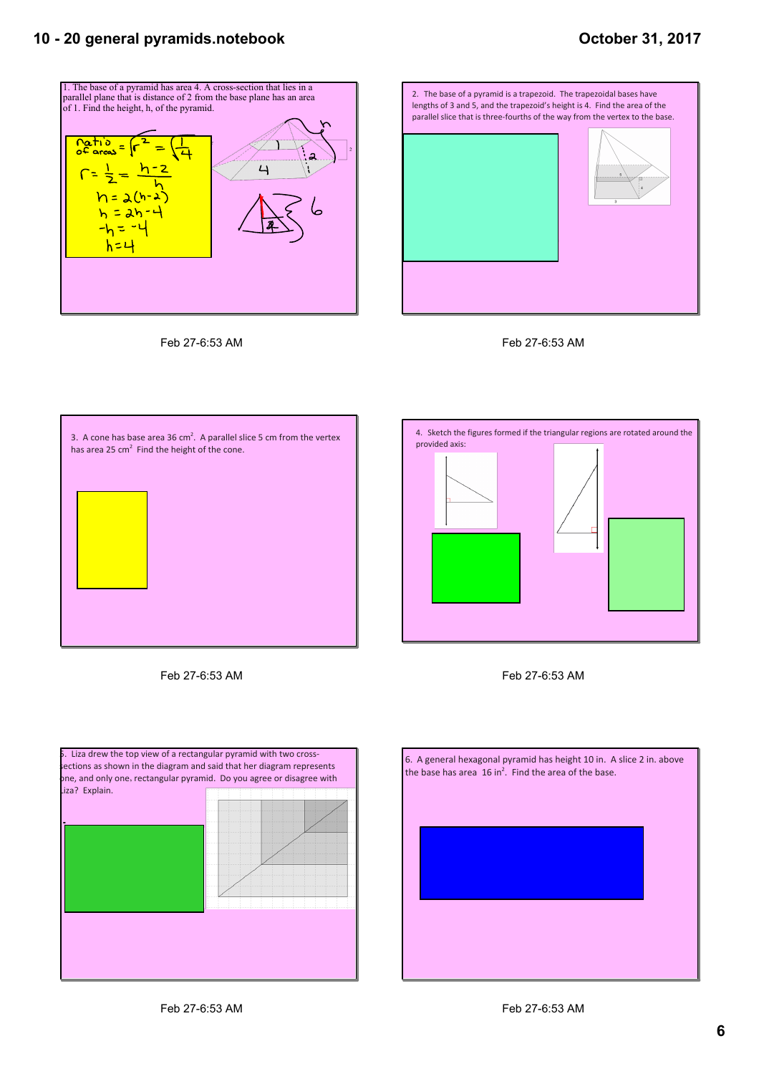### **October 31, 2017**











Feb 27-6:53 AM